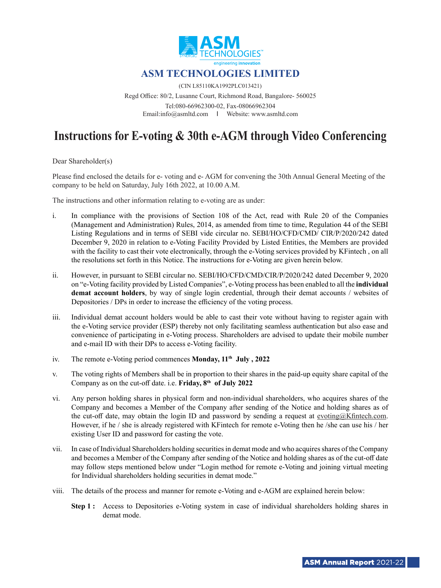

(CIN L85110KA1992PLC013421)

Regd Office: 80/2, Lusanne Court, Richmond Road, Bangalore- 560025 Tel:080-66962300-02, Fax-08066962304 Email:info@asmltd.com I Website: www.asmltd.com

# **Instructions for E-voting & 30th e-AGM through Video Conferencing**

Dear Shareholder(s)

Please find enclosed the details for e- voting and e- AGM for convening the 30th Annual General Meeting of the company to be held on Saturday, July 16th 2022, at 10.00 A.M.

The instructions and other information relating to e-voting are as under:

- i. In compliance with the provisions of Section 108 of the Act, read with Rule 20 of the Companies (Management and Administration) Rules, 2014, as amended from time to time, Regulation 44 of the SEBI Listing Regulations and in terms of SEBI vide circular no. SEBI/HO/CFD/CMD/ CIR/P/2020/242 dated December 9, 2020 in relation to e-Voting Facility Provided by Listed Entities, the Members are provided with the facility to cast their vote electronically, through the e-Voting services provided by KFintech , on all the resolutions set forth in this Notice. The instructions for e-Voting are given herein below.
- ii. However, in pursuant to SEBI circular no. SEBI/HO/CFD/CMD/CIR/P/2020/242 dated December 9, 2020 on "e-Voting facility provided by Listed Companies", e-Voting process has been enabled to all the **individual demat account holders**, by way of single login credential, through their demat accounts / websites of Depositories / DPs in order to increase the efficiency of the voting process.
- iii. Individual demat account holders would be able to cast their vote without having to register again with the e-Voting service provider (ESP) thereby not only facilitating seamless authentication but also ease and convenience of participating in e-Voting process. Shareholders are advised to update their mobile number and e-mail ID with their DPs to access e-Voting facility.
- iv. The remote e-Voting period commences **Monday**,  $11<sup>th</sup>$  **July**, 2022
- v. The voting rights of Members shall be in proportion to their shares in the paid-up equity share capital of the Company as on the cut-off date. i.e. **Friday, 8th of July 2022**
- vi. Any person holding shares in physical form and non-individual shareholders, who acquires shares of the Company and becomes a Member of the Company after sending of the Notice and holding shares as of the cut-off date, may obtain the login ID and password by sending a request at evoting@Kfintech.com. However, if he / she is already registered with KFintech for remote e-Voting then he /she can use his / her existing User ID and password for casting the vote.
- vii. In case of Individual Shareholders holding securities in demat mode and who acquires shares of the Company and becomes a Member of the Company after sending of the Notice and holding shares as of the cut-off date may follow steps mentioned below under "Login method for remote e-Voting and joining virtual meeting for Individual shareholders holding securities in demat mode."
- viii. The details of the process and manner for remote e-Voting and e-AGM are explained herein below:
	- **Step 1 :** Access to Depositories e-Voting system in case of individual shareholders holding shares in demat mode.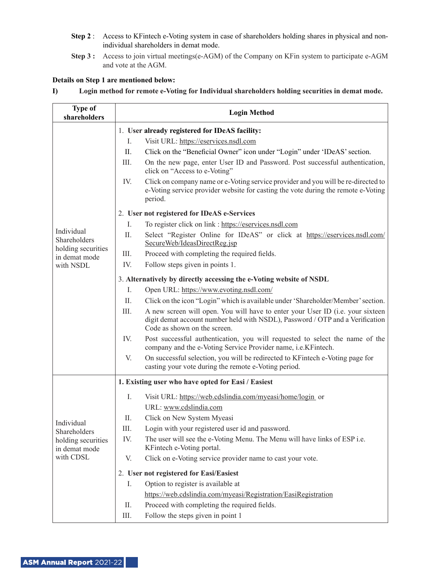- **Step 2** : Access to KFintech e-Voting system in case of shareholders holding shares in physical and nonindividual shareholders in demat mode.
- **Step 3 :** Access to join virtual meetings(e-AGM) of the Company on KFin system to participate e-AGM and vote at the AGM.

## **Details on Step 1 are mentioned below:**

**I) Login method for remote e-Voting for Individual shareholders holding securities in demat mode.**

| <b>Type of</b><br>shareholders                                                 | <b>Login Method</b>                                                 |                                                                                                                                                                                                 |  |
|--------------------------------------------------------------------------------|---------------------------------------------------------------------|-------------------------------------------------------------------------------------------------------------------------------------------------------------------------------------------------|--|
|                                                                                | 1. User already registered for IDeAS facility:                      |                                                                                                                                                                                                 |  |
|                                                                                | Ι.                                                                  | Visit URL: https://eservices.nsdl.com                                                                                                                                                           |  |
|                                                                                | П.                                                                  | Click on the "Beneficial Owner" icon under "Login" under 'IDeAS' section.                                                                                                                       |  |
|                                                                                | Ш.                                                                  | On the new page, enter User ID and Password. Post successful authentication,<br>click on "Access to e-Voting"                                                                                   |  |
|                                                                                | IV.                                                                 | Click on company name or e-Voting service provider and you will be re-directed to<br>e-Voting service provider website for casting the vote during the remote e-Voting<br>period.               |  |
|                                                                                | 2. User not registered for IDeAS e-Services                         |                                                                                                                                                                                                 |  |
| Individual<br>Shareholders<br>holding securities<br>in demat mode<br>with NSDL | I.                                                                  | To register click on link : https://eservices.nsdl.com                                                                                                                                          |  |
|                                                                                | Π.                                                                  | Select "Register Online for IDeAS" or click at https://eservices.nsdl.com/<br>SecureWeb/IdeasDirectReg.jsp                                                                                      |  |
|                                                                                | Ш.                                                                  | Proceed with completing the required fields.                                                                                                                                                    |  |
|                                                                                | IV.                                                                 | Follow steps given in points 1.                                                                                                                                                                 |  |
|                                                                                | 3. Alternatively by directly accessing the e-Voting website of NSDL |                                                                                                                                                                                                 |  |
|                                                                                | Ι.                                                                  | Open URL: https://www.evoting.nsdl.com/                                                                                                                                                         |  |
|                                                                                | П.                                                                  | Click on the icon "Login" which is available under 'Shareholder/Member' section.                                                                                                                |  |
|                                                                                | Ш.                                                                  | A new screen will open. You will have to enter your User ID (i.e. your sixteen<br>digit demat account number held with NSDL), Password / OTP and a Verification<br>Code as shown on the screen. |  |
|                                                                                | IV.                                                                 | Post successful authentication, you will requested to select the name of the<br>company and the e-Voting Service Provider name, i.e.KFintech.                                                   |  |
|                                                                                | V.                                                                  | On successful selection, you will be redirected to KFintech e-Voting page for<br>casting your vote during the remote e-Voting period.                                                           |  |
|                                                                                | 1. Existing user who have opted for Easi / Easiest                  |                                                                                                                                                                                                 |  |
| Individual<br>Shareholders<br>holding securities<br>in demat mode              | Ι.                                                                  | Visit URL: https://web.cdslindia.com/myeasi/home/login_or                                                                                                                                       |  |
|                                                                                |                                                                     | URL: www.cdslindia.com                                                                                                                                                                          |  |
|                                                                                | Π.                                                                  | Click on New System Myeasi                                                                                                                                                                      |  |
|                                                                                | Ш.                                                                  | Login with your registered user id and password.                                                                                                                                                |  |
|                                                                                | IV.                                                                 | The user will see the e-Voting Menu. The Menu will have links of ESP i.e.<br>KFintech e-Voting portal.                                                                                          |  |
| with CDSL                                                                      | V.                                                                  | Click on e-Voting service provider name to cast your vote.                                                                                                                                      |  |
|                                                                                | 2. User not registered for Easi/Easiest                             |                                                                                                                                                                                                 |  |
|                                                                                | I.                                                                  | Option to register is available at                                                                                                                                                              |  |
|                                                                                |                                                                     | https://web.cdslindia.com/myeasi/Registration/EasiRegistration                                                                                                                                  |  |
|                                                                                | П.                                                                  | Proceed with completing the required fields.                                                                                                                                                    |  |
|                                                                                | Ш.                                                                  | Follow the steps given in point 1                                                                                                                                                               |  |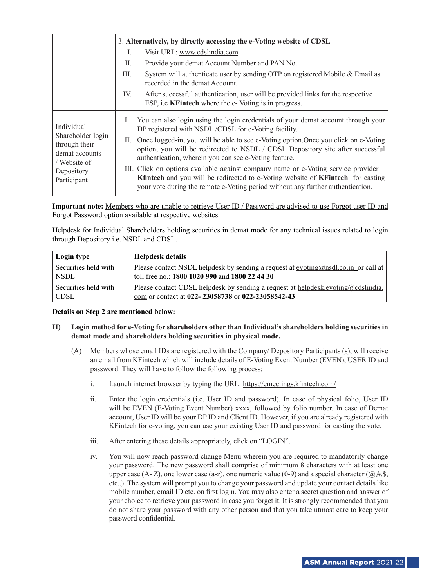|                                                                                                                 | 3. Alternatively, by directly accessing the e-Voting website of CDSL                                                                                                                                                                                                                                                                    |  |
|-----------------------------------------------------------------------------------------------------------------|-----------------------------------------------------------------------------------------------------------------------------------------------------------------------------------------------------------------------------------------------------------------------------------------------------------------------------------------|--|
|                                                                                                                 | Visit URL: www.cdslindia.com<br>L                                                                                                                                                                                                                                                                                                       |  |
|                                                                                                                 | Provide your demat Account Number and PAN No.<br>П.                                                                                                                                                                                                                                                                                     |  |
|                                                                                                                 | System will authenticate user by sending OTP on registered Mobile & Email as<br>Ш.<br>recorded in the demat Account.                                                                                                                                                                                                                    |  |
|                                                                                                                 | After successful authentication, user will be provided links for the respective<br>IV.<br>ESP, i.e KFintech where the e-Voting is in progress.                                                                                                                                                                                          |  |
| Individual<br>Shareholder login<br>through their<br>demat accounts<br>/ Website of<br>Depository<br>Participant | You can also login using the login credentials of your demat account through your<br>$\mathbf{I}$ .<br>DP registered with NSDL/CDSL for e-Voting facility.<br>II. Once logged-in, you will be able to see e-Voting option. Once you click on e-Voting<br>option, you will be redirected to NSDL / CDSL Depository site after successful |  |
|                                                                                                                 | authentication, wherein you can see e-Voting feature.<br>III. Click on options available against company name or e-Voting service provider –                                                                                                                                                                                            |  |
|                                                                                                                 | Kfintech and you will be redirected to e-Voting website of KFintech for casting<br>your vote during the remote e-Voting period without any further authentication.                                                                                                                                                                      |  |

**Important note:** Members who are unable to retrieve User ID / Password are advised to use Forgot user ID and Forgot Password option available at respective websites.

Helpdesk for Individual Shareholders holding securities in demat mode for any technical issues related to login through Depository i.e. NSDL and CDSL.

| Login type           | <b>Helpdesk details</b>                                                                            |
|----------------------|----------------------------------------------------------------------------------------------------|
| Securities held with | Please contact NSDL helpdesk by sending a request at $evoting(\partial n)$ rsdl, co. in or call at |
| <b>NSDL</b>          | toll free no.: 1800 1020 990 and 1800 22 44 30                                                     |
| Securities held with | Please contact CDSL helpdesk by sending a request at helpdesk.evoting@cdslindia.                   |
| <b>CDSL</b>          | com or contact at 022-23058738 or 022-23058542-43                                                  |

#### **Details on Step 2 are mentioned below:**

- **II) Login method for e-Voting for shareholders other than Individual's shareholders holding securities in demat mode and shareholders holding securities in physical mode.**
	- (A) Members whose email IDs are registered with the Company/ Depository Participants (s), will receive an email from KFintech which will include details of E-Voting Event Number (EVEN), USER ID and password. They will have to follow the following process:
		- i. Launch internet browser by typing the URL: https://emeetings.kfintech.com/
		- ii. Enter the login credentials (i.e. User ID and password). In case of physical folio, User ID will be EVEN (E-Voting Event Number) xxxx, followed by folio number. In case of Demat account, User ID will be your DP ID and Client ID. However, if you are already registered with KFintech for e-voting, you can use your existing User ID and password for casting the vote.
		- iii. After entering these details appropriately, click on "LOGIN".
		- iv. You will now reach password change Menu wherein you are required to mandatorily change your password. The new password shall comprise of minimum 8 characters with at least one upper case  $(A - Z)$ , one lower case  $(a - z)$ , one numeric value  $(0 - 9)$  and a special character  $((a, \#, \$),$ etc.,). The system will prompt you to change your password and update your contact details like mobile number, email ID etc. on first login. You may also enter a secret question and answer of your choice to retrieve your password in case you forget it. It is strongly recommended that you do not share your password with any other person and that you take utmost care to keep your password confidential.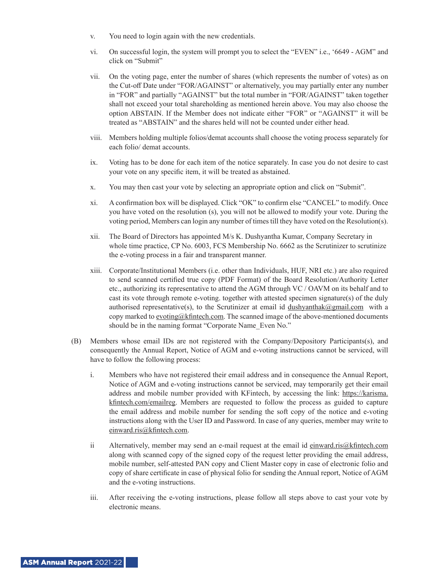- v. You need to login again with the new credentials.
- vi. On successful login, the system will prompt you to select the "EVEN" i.e., '6649 AGM" and click on "Submit"
- vii. On the voting page, enter the number of shares (which represents the number of votes) as on the Cut-off Date under "FOR/AGAINST" or alternatively, you may partially enter any number in "FOR" and partially "AGAINST" but the total number in "FOR/AGAINST" taken together shall not exceed your total shareholding as mentioned herein above. You may also choose the option ABSTAIN. If the Member does not indicate either "FOR" or "AGAINST" it will be treated as "ABSTAIN" and the shares held will not be counted under either head.
- viii. Members holding multiple folios/demat accounts shall choose the voting process separately for each folio/ demat accounts.
- ix. Voting has to be done for each item of the notice separately. In case you do not desire to cast your vote on any specific item, it will be treated as abstained.
- x. You may then cast your vote by selecting an appropriate option and click on "Submit".
- xi. A confirmation box will be displayed. Click "OK" to confirm else "CANCEL" to modify. Once you have voted on the resolution (s), you will not be allowed to modify your vote. During the voting period, Members can login any number of times till they have voted on the Resolution(s).
- xii. The Board of Directors has appointed M/s K. Dushyantha Kumar, Company Secretary in whole time practice, CP No. 6003, FCS Membership No. 6662 as the Scrutinizer to scrutinize the e-voting process in a fair and transparent manner.
- xiii. Corporate/Institutional Members (i.e. other than Individuals, HUF, NRI etc.) are also required to send scanned certified true copy (PDF Format) of the Board Resolution/Authority Letter etc., authorizing its representative to attend the AGM through VC / OAVM on its behalf and to cast its vote through remote e-voting. together with attested specimen signature(s) of the duly authorised representative(s), to the Scrutinizer at email id dushyanthak@gmail.com with a copy marked to evoting@kfintech.com. The scanned image of the above-mentioned documents should be in the naming format "Corporate Name\_Even No."
- (B) Members whose email IDs are not registered with the Company/Depository Participants(s), and consequently the Annual Report, Notice of AGM and e-voting instructions cannot be serviced, will have to follow the following process:
	- i. Members who have not registered their email address and in consequence the Annual Report, Notice of AGM and e-voting instructions cannot be serviced, may temporarily get their email address and mobile number provided with KFintech, by accessing the link: https://karisma. kfintech.com/emailreg. Members are requested to follow the process as guided to capture the email address and mobile number for sending the soft copy of the notice and e-voting instructions along with the User ID and Password. In case of any queries, member may write to einward.ris@kfintech.com.
	- ii Alternatively, member may send an e-mail request at the email id einward.ris@kfintech.com along with scanned copy of the signed copy of the request letter providing the email address, mobile number, self-attested PAN copy and Client Master copy in case of electronic folio and copy of share certificate in case of physical folio for sending the Annual report, Notice of AGM and the e-voting instructions.
	- iii. After receiving the e-voting instructions, please follow all steps above to cast your vote by electronic means.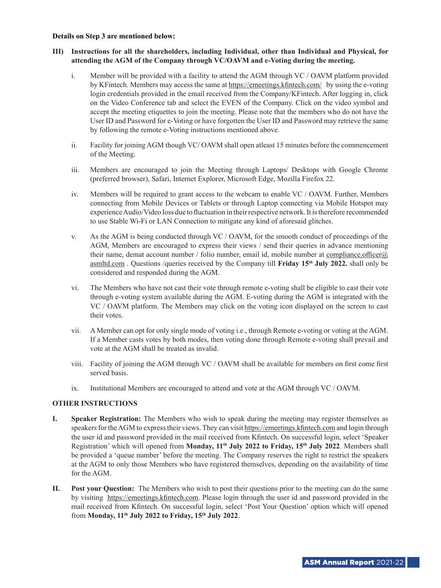#### **Details on Step 3 are mentioned below:**

# **III) Instructions for all the shareholders, including Individual, other than Individual and Physical, for attending the AGM of the Company through VC/OAVM and e-Voting during the meeting.**

- i. Member will be provided with a facility to attend the AGM through VC / OAVM platform provided by KFintech. Members may access the same at https://emeetings.kfintech.com/ by using the e-voting login credentials provided in the email received from the Company/KFintech. After logging in, click on the Video Conference tab and select the EVEN of the Company. Click on the video symbol and accept the meeting etiquettes to join the meeting. Please note that the members who do not have the User ID and Password for e-Voting or have forgotten the User ID and Password may retrieve the same by following the remote e-Voting instructions mentioned above.
- ii. Facility for joining AGM though VC/ OAVM shall open atleast 15 minutes before the commencement of the Meeting.
- iii. Members are encouraged to join the Meeting through Laptops/ Desktops with Google Chrome (preferred browser), Safari, Internet Explorer, Microsoft Edge, Mozilla Firefox 22.
- iv. Members will be required to grant access to the webcam to enable VC / OAVM. Further, Members connecting from Mobile Devices or Tablets or through Laptop connecting via Mobile Hotspot may experience Audio/Video loss due to fluctuation in their respective network. It is therefore recommended to use Stable Wi-Fi or LAN Connection to mitigate any kind of aforesaid glitches.
- v. As the AGM is being conducted through VC / OAVM, for the smooth conduct of proceedings of the AGM, Members are encouraged to express their views / send their queries in advance mentioning their name, demat account number / folio number, email id, mobile number at compliance.officer $\omega$ asmltd.com . Questions /queries received by the Company till **Friday 15th July 2022.** shall only be considered and responded during the AGM.
- vi. The Members who have not cast their vote through remote e-voting shall be eligible to cast their vote through e-voting system available during the AGM. E-voting during the AGM is integrated with the VC / OAVM platform. The Members may click on the voting icon displayed on the screen to cast their votes.
- vii. A Member can opt for only single mode of voting i.e., through Remote e-voting or voting at the AGM. If a Member casts votes by both modes, then voting done through Remote e-voting shall prevail and vote at the AGM shall be treated as invalid.
- viii. Facility of joining the AGM through VC / OAVM shall be available for members on first come first served basis.
- ix. Institutional Members are encouraged to attend and vote at the AGM through VC / OAVM.

## **OTHER INSTRUCTIONS**

- **I. Speaker Registration:** The Members who wish to speak during the meeting may register themselves as speakers for the AGM to express their views. They can visit https://emeetings.kfintech.com and login through the user id and password provided in the mail received from Kfintech. On successful login, select 'Speaker Registration' which will opened from Monday, 11<sup>th</sup> July 2022 to Friday, 15<sup>th</sup> July 2022. Members shall be provided a 'queue number' before the meeting. The Company reserves the right to restrict the speakers at the AGM to only those Members who have registered themselves, depending on the availability of time for the AGM.
- **II. Post your Question:** The Members who wish to post their questions prior to the meeting can do the same by visiting https://emeetings.kfintech.com. Please login through the user id and password provided in the mail received from Kfintech. On successful login, select 'Post Your Question' option which will opened from **Monday, 11th July 2022 to Friday, 15th July 2022**.